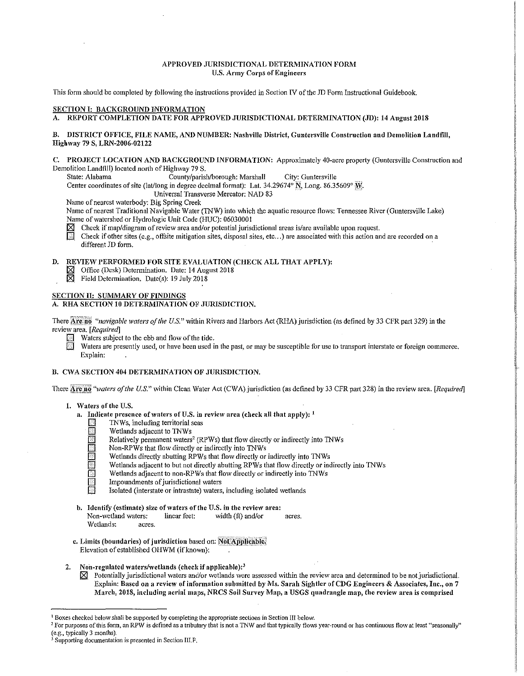# APPROVED JURISDICTIONAL DETERMINATION FORM U.S. Army Corps of Engineers

This form should be completed by following the instructions provided in Section IV of the JD Form Instructional Guidebook.

#### SECTION I: BACKGROUND INFORMATION

A. REPORT COMPLETION DATE FOR APPROVED JURISDICTIONAL DETERMINATION (JD): 14 August 2018

# B. DISTRICT OFFICE, FILE NAME, AND NUMBER: Nashville District, Guntersville Construction and Demolition Landfill, Highway 79 S, LRN-2006-02122

# C. PROJECT LOCATION AND BACKGROUND INFORMATION: Approximately 40-acre property (Guntersville Construction and Demolition Landfill) located north of Highway 79 S.

State: Alabama County/parish/borough: Marshall City: Guntersville

Center coordinates of site (lat/long in degree decimal format): Lat.  $34.29674^{\circ}$  N, Long.  $86.35609^{\circ}$  W.

Universal Transverse Mercator: NAD 83

Name of nearest waterbody: Big Spring Creek

Name of nearest Traditional Navigable Water (TNW) into which the aquatic resource flows: Tennessee River (Guntersville Lake) Name of watershed or Hydrologic Unit Code (HUC): 06030001

S Check if map/diagram of review area and/or potential jurisdictional areas is/are available upon request.<br>
Check if other sites (e.g., offsite mitigation sites, disposal sites, etc...) are associated with this action are

Check if other sites (e.g., offsite mitigation sites, disposal sites, etc...) are associated with this action and are recorded on a different JD form.

# D. REVIEW PERFORMED FOR SITE EVALUATION (CHECK ALL THAT APPLY):<br>  $\boxtimes$  Office (Desk) Determination. Date: 14 August 2018

- Office (Desk) Determination. Date: 14 August 2018
- $\boxtimes$  Field Determination. Date(s): 19 July 2018

# SECTION II: SUMMARY OF FINDINGS

# A. RHA SECTION 10 DETERMINATION OF JURISDICTION.

There *Are*:<sup>10</sup> *"navigable waters of the U.S."* within Rivers and Harbors Act (RHA) jurisdiction (as defined by 33 CFR part 329) in the review area. *[Required]* 

Waters subject to the ebb and flow of the tide.

Waters are presently used, or have been used in the past, or may be susceptible for use to transport interstate or foreign commerce. Explain:

# B. CWA SECTION 404 DETERMINATION OF JURISDICTION.

There **Arcino** "waters of the U.S." within Clean Water Act (CWA) jurisdiction (as defined by 33 CFR part 328) in the review area. *[Required]* 

- 1. Waters of the U.S.
	- a. Indicate presence of waters of U.S. in review area (check all that apply):  $<sup>1</sup>$ </sup>
		- $\Box$  TNWs, including territorial seas
		- Wetlands adjacent to TNWs
		- Relatively permanent waters<sup>2</sup> (RPWs) that flow directly or indirectly into TNWs
		- Non-RPWs that flow directly or indirectly into TNWs
		- Wetlands directly abutting RPWs that flow directly or indirectly into TNWs
		- Wetlands adjacent to but not directly abutting RPWs that flow directly or indirectly into TNWs
		- Wetlands adjacent to non-RPWs that flow directly or indirectly into TNWs
		- Impoundments of jurisdictional waters
		- Isolated (interstate or intrastate) waters, including isolated wetlands
	- b. Identify (estimate) size of waters of the U.S. in the review area: Non-wetland waters: linear feet:  $width (ft) and/or *acres.*$ 
		- Wetlands: acres.
	- c. Limits (boundaries) of jurisdiction based on: Not Applicable. Elevation of established OHWM (if known):
- 2. Non-regulated waters/wetlands (check if applicable): $3$ 
	- $\boxtimes$  Potentially jurisdictional waters and/or wetlands were assessed within the review area and determined to be not jurisdictional. Explain: Based on a review of information submitted by Ms. Sarah Sightler of CDG Engineers & Associates, Inc., on 7 March, 2018, including aerial maps, NRCS Soil Survey Map, a USGS quadrangle map, the review area is comprised

<sup>&</sup>lt;sup>1</sup> Boxes checked below shall be supported by completing the appropriate sections in Section III below.

<sup>&</sup>lt;sup>2</sup> For purposes of this form, an RPW is defined as a tributary that is not a TNW and that typically flows year-round or has continuous flow at least "seasonally"<br>(e.g., typically 3 months).

<sup>&</sup>lt;sup>3</sup> Supporting documentation is presented in Section III.F.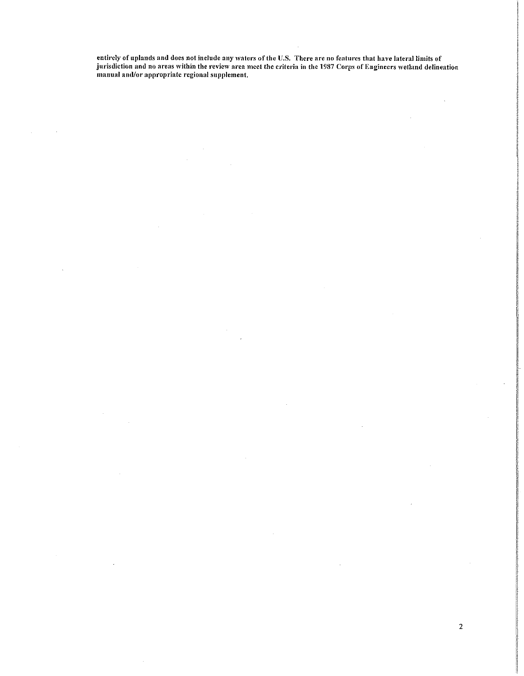entirely of uplands and does not include any waters of the U.S. There are no features that have lateral limits of jurisdiction and no areas within the review area meet the criteria in the 1987 Corps of Engineers wetland delineation manual and/or appropriate regional supplement.

2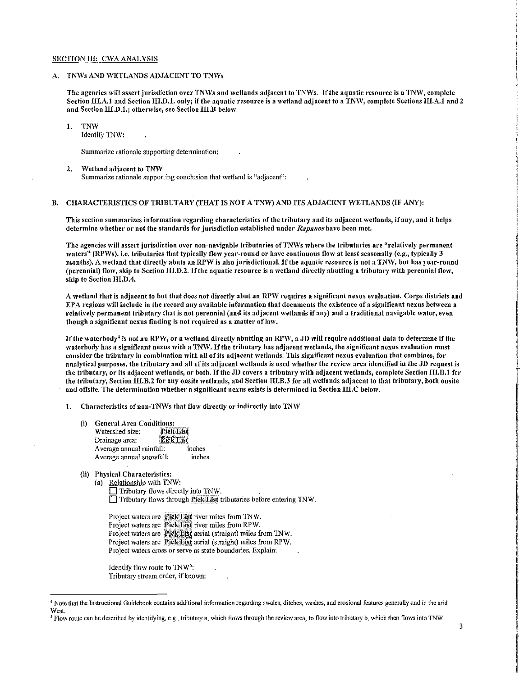#### SECTION III: CWA ANALYSIS

### A. TNWs AND WETLANDS ADJACENT TO TNWs

The agencies will assert jurisdiction over TNWs and wetlands adjacent to TNWs. If the aquatic resource is a TNW, complete Section III.A.1 and Section III.D.1. only; if the aquatic resource is a wetland adjacent to a TNW, complete Sections III.A.1 and 2 and Section III.D.1.; otherwise, see Section III.B below.

# 1. TNW

Identify 1NW:

Summarize rationale supporting determination:

2. Wetland adjacent to TNW Summarize rationale supporting conclusion that wetland is "adjacent":

# B. CHARACTERISTICS OF TRIBUTARY (THAT IS NOT A TNW) AND ITS ADJACENT WETLANDS (IF ANY):

This section summarizes information regarding characteristics of the tributary and its adjacent wetlands, if any, and it helps determine lvhetber or not the standards for jurisdiction established under *Rapa11os* have been met.

The agencies will assert jurisdiction over non-navigable tributaries of TNWs where the tributaries are "relatively permanent waters" (RPWs), i.e. tributaries that typically flow year-round or have continuous flow at least seasonally (e.g., typically 3 months). A wetland that directly abuts an RPW is also jurisdictional. If the aquatic resource is not a TNW, but has year-round (perennial) flow, skip to Section III.D.2. If the aquatic resource is a wetland directly abutting a tributary with perennial flow, skip to Section III.D.4.

A wetland that is adjacent to but that does not directly abut an RPW requires a significant nexus evaluation. Corps districts and EPA regions will include in the record any available information that documents the existence of a significant nexus between a relatively permanent tributary that is not perennial (and its adjacent wetlands if any) and a traditional navigable water, even though a significant nexus finding is not required as a matter of law.

If the waterbody<sup>4</sup> is not an RPW, or a wetland directly abutting an RPW, a JD will require additional data to determine if the waterbody has a significant nexus with a TNW. If the tributary has adjacent wetlands, the significant nexus evaluation must consider the tributary in combination 'vith all of its adjacent wetlands. This significant nexus evaluation that combines, for analytical purposes, the tributary and all of its adjacent wetlands is used whether the review area identified in the JD request is the tributary, or its adjacent wetlands, or both. If the JD covers a tributary with adjacent wetlands, complete Section III.B.1 for the tributary, Section III.B.2 for any onsite wetlands, and Section III.B.3 for all wetlands adjacent to that tributary, both onsite and offsite. The determination whether a significant nexus exists is determined in Section III.C below.

1. Characteristics of non-TNWs that flow directly or indirectly into TNW

- (i) General Area Conditions:<br>Watershed size: Pick List Watershed size: Drainage area: Pick List Average annual rainfall: inches Average annual snowfall: inches
- (ii) Physical Characteristics:
	- (a) Relationship with TNW:
		- Tributary flows directly into TNW.  $\Box$  Tributary flows through **Pick List** tributaries before entering TNW.
		- Project waters are Pick List river miles from TNW. Project waters are **Pick List** river miles from RPW. Project waters are Pick List aerial (straight) miles from TNW. Project waters are Pick List aerial (straight) miles from RPW. Project waters cross or serve as state boundaries. Explain:

Identify flow route to TNW<sup>5</sup>: Tributary stream order, if known:

<sup>&</sup>lt;sup>4</sup> Note that the Instructional Guidebook contains additional information regarding swales, ditches, washes, and erosional features generally and in the arid West.

<sup>&</sup>lt;sup>5</sup> Flow route can be described by identifying, e.g., tributary a, which flows through the review area, to flow into tributary b, which then flows into TNW.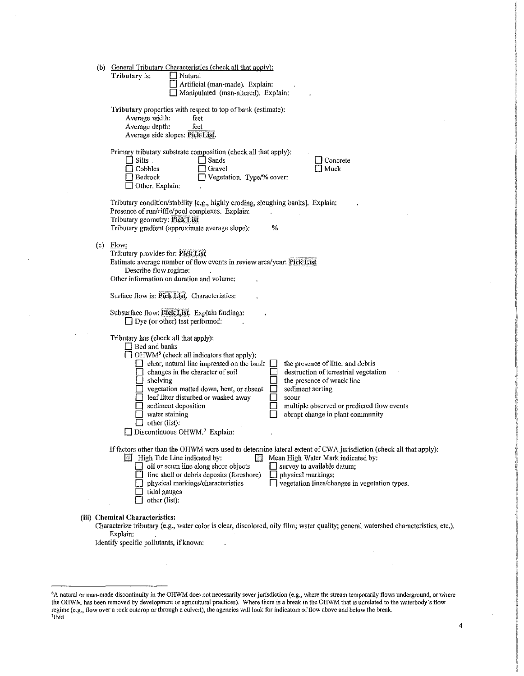|     | (b) General Tributary Characteristics (check all that apply):<br>Tributary is:<br>  Natural<br>Artificial (man-made), Explain:<br>Manipulated (man-altered). Explain:                                                                                                                                                                                                                                                                                                                                                                                                                                                                                               |
|-----|---------------------------------------------------------------------------------------------------------------------------------------------------------------------------------------------------------------------------------------------------------------------------------------------------------------------------------------------------------------------------------------------------------------------------------------------------------------------------------------------------------------------------------------------------------------------------------------------------------------------------------------------------------------------|
|     | Tributary properties with respect to top of bank (estimate):<br>Average width:<br>feet<br>Average depth:<br>feet<br>Average side slopes: Pick Eist.                                                                                                                                                                                                                                                                                                                                                                                                                                                                                                                 |
|     | Primary tributary substrate composition (check all that apply):<br>$\exists$ Silts .<br>  Sands<br>Concrete<br>Muck<br>Cobbles<br>Gravel<br>Bedrock<br>Vegetation. Type/% cover:<br>Other. Explain:                                                                                                                                                                                                                                                                                                                                                                                                                                                                 |
|     | Tributary condition/stability [e.g., highly eroding, sloughing banks]. Explain:<br>Presence of run/riffle/pool complexes. Explain:<br>Tributary geometry: Pick List<br>%<br>Tributary gradient (approximate average slope):                                                                                                                                                                                                                                                                                                                                                                                                                                         |
| (c) | Flow:<br>Tributary provides for: Pick List<br>Estimate average number of flow events in review area/year: Pick List<br>Describe flow regime:<br>Other information on duration and volume:                                                                                                                                                                                                                                                                                                                                                                                                                                                                           |
|     | Surface flow is: Pick List. Characteristics:                                                                                                                                                                                                                                                                                                                                                                                                                                                                                                                                                                                                                        |
|     | Subsurface flow: Pick List. Explain findings:<br>$\Box$ Dye (or other) test performed:                                                                                                                                                                                                                                                                                                                                                                                                                                                                                                                                                                              |
|     | Tributary has (check all that apply):<br>$\Box$ Bed and banks<br>$\Box$ OHWM <sup>6</sup> (check all indicators that apply):<br>clear, natural line impressed on the bank<br>the presence of litter and debris<br>destruction of terrestrial vegetation<br>$\Box$ changes in the character of soil<br>$\Box$ shelving<br>the presence of wrack line<br>vegetation matted down, bent, or absent<br>sediment sorting<br>$\Box$ leaf litter disturbed or washed away<br>scour<br>multiple observed or predicted flow events<br>sediment deposition<br>abrupt change in plant community<br>water staining<br>other (list):<br>Discontinuous OHWM. <sup>7</sup> Explain: |
|     | If factors other than the OHWM were used to determine lateral extent of CWA jurisdiction (check all that apply):<br>$\overline{\mathbb{R}}$ High Tide Line indicated by:<br>Mean High Water Mark indicated by:<br>38<br>oil or scum line along shore objects<br>survey to available datum;<br>fine shell or debris deposits (foreshore)<br>physical markings;<br>$\Box$ vegetation lines/changes in vegetation types.<br>physical markings/characteristics<br>tidal gauges<br>other (list):                                                                                                                                                                         |
|     | <b>Chemical Characteristics:</b><br>Characterize tributary (e.g., water color is clear, discolored, oily film; water quality; general watershed characteristics, etc.).<br>Explain:                                                                                                                                                                                                                                                                                                                                                                                                                                                                                 |

Identify specific pollutants, if known:

 $(iii)$ 

 $\ddot{\phantom{0}}$ 

 $\hat{\boldsymbol{\beta}}$ 

 $\bar{\gamma}$ 

 $6$ A natural or man-made discontinuity in the OHWM does not necessarily sever jurisdiction (e.g., where the stream temporarily flows underground, or where the OHWM has been removed by development or agricultural practices). Where there is a break in the OHWM that is unrelated to the waterbody's flow regime (e.g., flow over a rock outcrop or through a culvert), the agencies will look for indicators of flow above and below the break.<br><sup>7</sup>Ibid.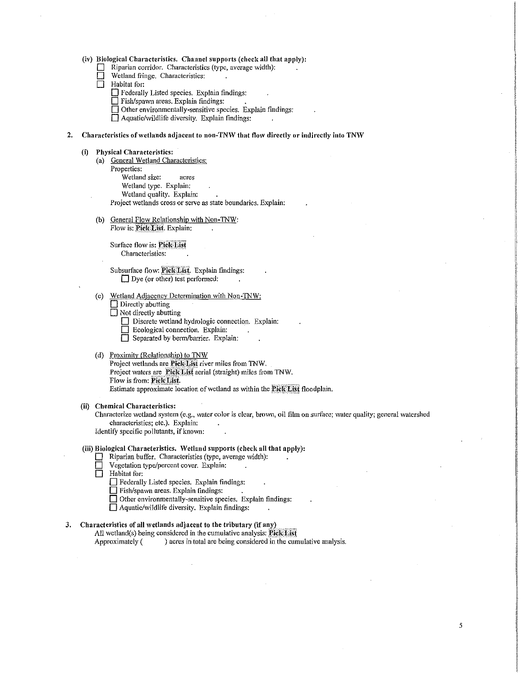(iv) Biological Characteristics. Channel supports (check all that apply):

- $\Box$  Riparian corridor. Characteristics (type, average width):<br> $\Box$  Wetland fringe Characteristics
- $\Box$  Wetland fringe. Characteristics:<br>  $\Box$  Habitat for:
- Habitat for:
	- D Federally Listed species. Explain findings:
	- $\square$  Fish/spawn areas. Explain findings:
	- $\Box$  Other environmentally-sensitive species. Explain findings:

 $\Box$  Aquatic/wildlife diversity. Explain findings:

#### 2. Characteristics of wetlands adjacent to non-TNW that flow directly or indirectly into TNW

#### (i) Physical Characteristics:

(a) General Wetland Characteristics: Properties: Wetland size: acres Wetland type. Explain: Wetland quality. Explain:

Project wetlands cross or serve as state boundaries. Explain:

(b) General Flow Relationship with Non-TNW: Flow is: Pick List. Explain:

Surface flow is: Pick List Characteristics:

Subsurface flow: Pick List. Explain findings:  $\Box$  Dye (or other) test performed:

- (c) Wetland Adjacency Determination with Non-TNW:
	- $\Box$  Directly abutting
	- $\Box$  Not directly abutting
		- Discrete wetland hydrologic connection. Explain:
		- $\Box$  Ecological connection. Explain:
		- Separated by berm/barrier. Explain:

#### (d) Proximity (Relationship) to TNW

Project wetlands are **Pick List** river miles from TNW. Project waters are Pick List aerial (straight) miles from TNW. Flow is from: Pick List. Estimate approximate location of wetland as within the Pick List floodplain.

#### (ii) Chemical Characteristics:

Characterize wetland system (e.g., water color is clear, brown, oil film on surface; water quality; general watershed characteristics; etc.). Explain:

5

Identify specific pollutants, if known:

# (iii) Biological Characteristics. \Vctland supports (check all that apply):

- $\Box$  Riparian buffer. Characteristics (type, average width):
- D Vegetation type/percent cover. Explain:
- D Habitat for;
	- D Federally Listed species. Explain findings:
	- $\Box$  Fish/spawn areas. Explain findings:
	- $\Box$  Other environmentally-sensitive species. Explain findings:
	- $\Box$  Aquatic/wildlife diversity. Explain findings:

# 3. Characteristics of all wetlands adjacent to the tributary (if any)

All wetland(s) being considered in the cumulative analysis: Pick List

Approximately ( ) acres in total are being considered in the cumulative analysis.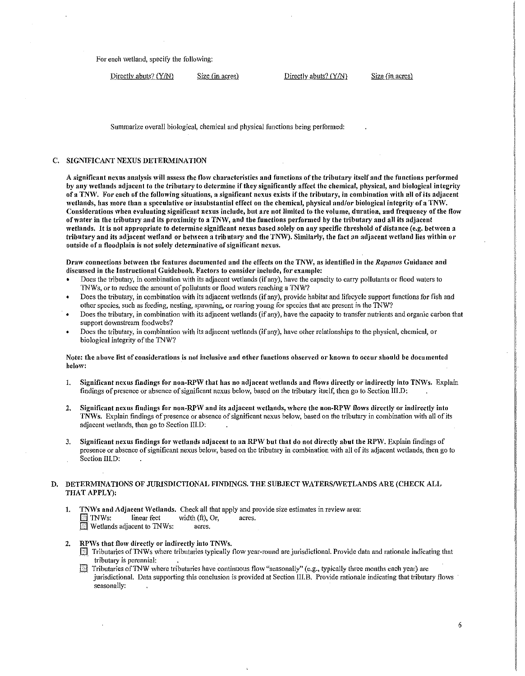For each wetland, specify the following:

Directly abuts? (Y/N) Size (in acres) Directly abuts? (Y/N) Size (in acres)

Summarize overall biological, chemical and physical functions being performed:

# C. SIGNIFICANT NEXUS DETERMINATION

A significant nexus analysis will assess the flow characteristics and functions of the tributary itself and the functions performed by any wetlands adjacent to the tributary to determine if they significantly affect the chemical, physical, and biological integrity of a TNW. For each of the following situations, a significant nexus exists if the tributary, in combination with all of its adjacent \Vetlands, has more than a speculative or insubstantial effect on the chemical, physical and/or biological integrity of a TNW. Considerations when evaluating significant nexus include, but are not limited to the volume, duration, and frequency of the flow of water in the tributary and its proximity to a TNW, and the functions performed by the tributary and all its adjacent wetlands. It is not appropriate to determine significant nexus based solely on any specific threshold of distance (e.g. between a tributary and its adjacent wetland or between a tributary and the TNW). Similarly, the fact an adjacent wetland lies within or outside of a floodplain is not solely determinative of significant nexus.

Draw connections between the features documented and the effects on the TNW, as identified in the *Rapanos* Guidance and discussed in the Instructional Guidebook. Factors to consider include, for example:

- Does the tributary, in combination with its adjacent wetlands (if any), have the capacity to carry pollutants or flood waters to 1NWs, or to reduce the amount of pollutants or flood \Vaters reaching a 1NW?
- Does the tributary, in combination with its adjacent wetlands (if any), provide habitat and lifecycle support functions for fish and other species, such as feeding, nesting, spawning, or rearing young for species that are present in the TNW?
- Does the tributary, in combination with its adjacent \vet lands (if any), have the capacity to transfer nutrients and organic carbon that support downstream foodwebs?
- Does the tributary, in combination with its adjacent wetlands (if any), have other relationships to the physical, chemical, or biological integrity of the TNW?

#### Note: the above list of considerations is not inclusive and other functions observed or known to occur should be documented below:

- 1. Significant nexus findings for non-RPW that has no adjacent wetlands and flows directly or indirectly into TNWs. Explain findings of presence or absence of significant nexus below, based on the tributary itself, then go to Section III.D:
- 2. Significant nexus findings for non-RPW and its adjacent wetlands, where the non-RPW flows directly or indirectly into TNWs. Explain findings of presence or absence of significant nexus below, based on the tributary in combination with all of its adjacent wetlands, then go to Section III.D:
- 3. Significant nexus findings for wetlands adjacent to an RPW but that do not directly abut the RPW. Explain findings of presence or absence of significant nexus below, based on the tributary in combination with all of its adjacent wetlands, then go to Section III.D:

# D. DETERMINATIONS OF JURISDICTIONAL FINDINGS. THE SUBJECT WATERS/WETLANDS ARE (CHECK ALL THAT APPLY):

- 1. TNWs and Adjacent Wetlands. Check all that apply and provide size estimates in review area:<br> $\Box$  TNWs: linear feet width (ft), Or, acres.  $\lim_{x \to \infty}$  feet width (ft), Or, acres. **E** Wetlands adjacent to TNWs: acres.
- 2. RPWs that flow directly or indirectly into TNWs.
	- $\Box$  Tributaries of TNWs where tributaries typically flow year-round are jurisdictional. Provide data and rationale indicating that tributary is perennial:
	- If Tributaries of TNW where tributaries have continuous flow "seasonally" (e.g., typically three months each year) are jurisdictional. Data supporting this conclusion is provided at Section III.B. Provide rationale indicating that tributary flows seasonally: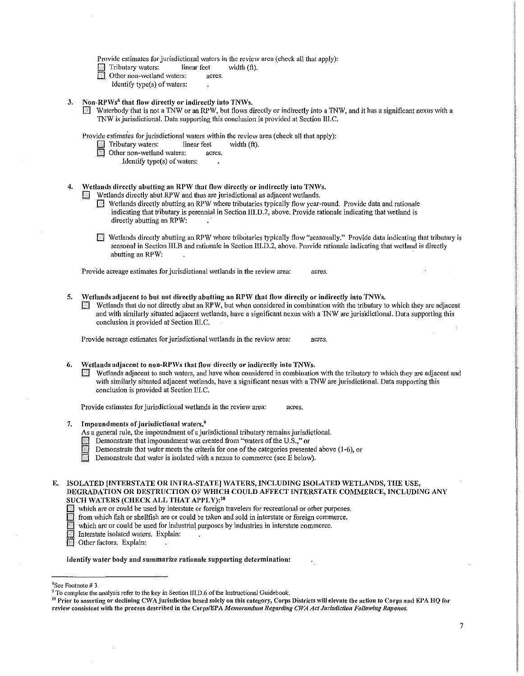Provide estimates for jurisdictional waters in the review area (check all that apply):

- Tributary waters: linear feet width (ft).<br>
Other non-wetland waters: acres.
- Other non-wetland waters:
- Identify type $(s)$  of waters:
- 3. Non-RPWs<sup>8</sup> that flow directly or indirectly into TNWs.
	- Waterbody that is not a TNW or an RPW, but flows directly or indirectly into a TNW, and it has a significant nexus with a TNW is jurisdictional. Data supporting this conclusion is provided at Section III.C.

Provide estimates for jurisdictional waters within the review area (check all that apply):

- $\Box$  Tributary waters: linear feet width (ft).<br> $\Box$  Other non-wetland waters: acres.
- Other non-wetland waters: acres.
	- Identify type(s) of waters:
- 4. Wetlands directly abutting an RPW that flow directly or indirectly into TNWs.
	- Wetlands directly abut RPW and thus are jurisdictional as adjacent wetlands.
		- $\boxtimes$  Wetlands directly abutting an RPW where tributaries typically flow year-round. Provide data and rationale indicating that tributary is perennial in Section III.D.2, above. Provide rationale indicating that wetland is directly abutting an RPW:
		- $\Box$  Wetlands directly abutting an RPW where tributaries typically flow "seasonally." Provide data indicating that tributary is seasonal in Section III.B and rationale in Section III.D.2, above. Provide rationale indicating that wetland is directly abutting an RPW:

Provide acreage estimates for jurisdictional wetlands in the review area: acres.

- 5. Wetlands adjacent to but not directly abutting an RPW that flow directly or indirectly into TNWs.
	- Wetlands that do not directly abut an RPW, but when considered in combination with the tributary to which they are adjacent and with similarly situated adjacent wetlands, have a significant nexus with a TNW are jurisidictional. Data supporting this conclusion is provided at Section III.C.

Provide acreage estimates for jurisdictional wetlands in the review area: acres.

- 6. Wetlands adjacent to non-RPWs that flow directly or indirectly into TNWs.
	- Wetlands adjacent to such waters, and have when considered in combination with the tributary to which they are adjacent and with similarly situated adjacent wetlands, have a significant nexus with a TNW are jurisdictional. Data supporting this conclusion is provided at Section IILC.

Provide estimates for jurisdictional wetlands in the review area: acres.

- 7. Impoundments of jurisdictional waters. $9$ 
	- As a general rule, the impoundment of a jurisdictional tributary remains jurisdictional.
	- Demonstrate that impoundment was created from "waters of the U.S.," or
	- Demonstrate that water meets the criteria for one of the categories presented above (1-6), or
	- Demonstrate that water is isolated with a nexus to commerce (see E below).
- E. ISOLATED [INTERSTATE OR INTRA-STATE] WATERS, INCLUDING ISOLATED WETLANDS, THE USE, DEGRADATION OR DESTRUCTION OF WHICH COULD AFFECT INTERSTATE COMMERCE, INCLUDING ANY SUCH WATERS (CHECK ALL THAT APPLY): 10
	- $\Box$  which are or could be used by interstate or foreign travelers for recreational or other purposes.<br> $\Box$  from which fish or shellfish are or could be taken and sold in interstate or foreign commerce.
	-
	- $\blacksquare$  which are or could be used for industrial purposes by industries in interstate commerce.

**EJ** Interstate isolated waters. Explain:

EJ Other factors. Explain:

#### Identify water body and summarize rationale supporting determination:

<sup>8</sup>See Footnote #3.

<sup>&</sup>lt;sup>9</sup> To complete the analysis refer to the key in Section IILD.6 of the Instructional Guidebook.<br><sup>10</sup> Prior to asserting or declining CWA jurisdiction based solely on this category, Corps Districts will elevate the action t review consistent with the process described in the Corps/EPA *Memorandum Regarding CWA Act Jurisdiction Following Rapanos.*